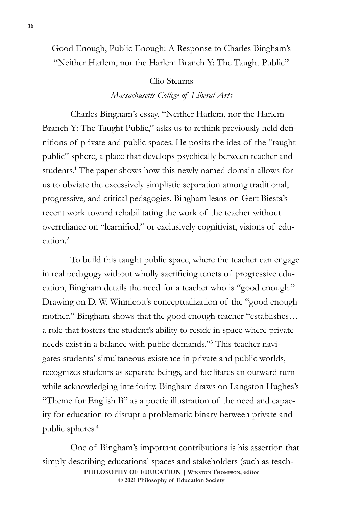Good Enough, Public Enough: A Response to Charles Bingham's "Neither Harlem, nor the Harlem Branch Y: The Taught Public"

## Clio Stearns

## *Massachusetts College of Liberal Arts*

Charles Bingham's essay, "Neither Harlem, nor the Harlem Branch Y: The Taught Public," asks us to rethink previously held definitions of private and public spaces. He posits the idea of the "taught public" sphere, a place that develops psychically between teacher and students.<sup>1</sup> The paper shows how this newly named domain allows for us to obviate the excessively simplistic separation among traditional, progressive, and critical pedagogies. Bingham leans on Gert Biesta's recent work toward rehabilitating the work of the teacher without overreliance on "learnified," or exclusively cognitivist, visions of edu $cation<sup>2</sup>$ 

To build this taught public space, where the teacher can engage in real pedagogy without wholly sacrificing tenets of progressive education, Bingham details the need for a teacher who is "good enough." Drawing on D. W. Winnicott's conceptualization of the "good enough mother," Bingham shows that the good enough teacher "establishes… a role that fosters the student's ability to reside in space where private needs exist in a balance with public demands."3 This teacher navigates students' simultaneous existence in private and public worlds, recognizes students as separate beings, and facilitates an outward turn while acknowledging interiority. Bingham draws on Langston Hughes's "Theme for English B" as a poetic illustration of the need and capacity for education to disrupt a problematic binary between private and public spheres.4

One of Bingham's important contributions is his assertion that simply describing educational spaces and stakeholders (such as teach-**PHILOSOPHY OF EDUCATION | Winston Thompson, editor © 2021 Philosophy of Education Society**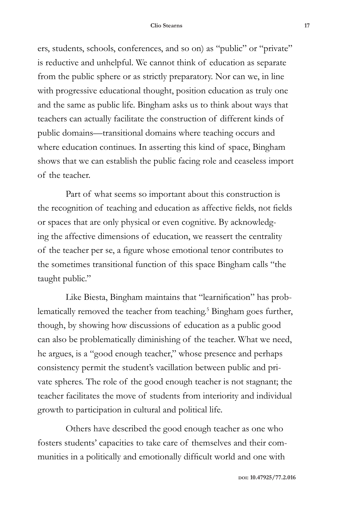ers, students, schools, conferences, and so on) as "public" or "private" is reductive and unhelpful. We cannot think of education as separate from the public sphere or as strictly preparatory. Nor can we, in line with progressive educational thought, position education as truly one and the same as public life. Bingham asks us to think about ways that teachers can actually facilitate the construction of different kinds of public domains—transitional domains where teaching occurs and where education continues. In asserting this kind of space, Bingham shows that we can establish the public facing role and ceaseless import of the teacher.

Part of what seems so important about this construction is the recognition of teaching and education as affective fields, not fields or spaces that are only physical or even cognitive. By acknowledging the affective dimensions of education, we reassert the centrality of the teacher per se, a figure whose emotional tenor contributes to the sometimes transitional function of this space Bingham calls "the taught public."

Like Biesta, Bingham maintains that "learnification" has problematically removed the teacher from teaching.<sup>5</sup> Bingham goes further, though, by showing how discussions of education as a public good can also be problematically diminishing of the teacher. What we need, he argues, is a "good enough teacher," whose presence and perhaps consistency permit the student's vacillation between public and private spheres. The role of the good enough teacher is not stagnant; the teacher facilitates the move of students from interiority and individual growth to participation in cultural and political life.

Others have described the good enough teacher as one who fosters students' capacities to take care of themselves and their communities in a politically and emotionally difficult world and one with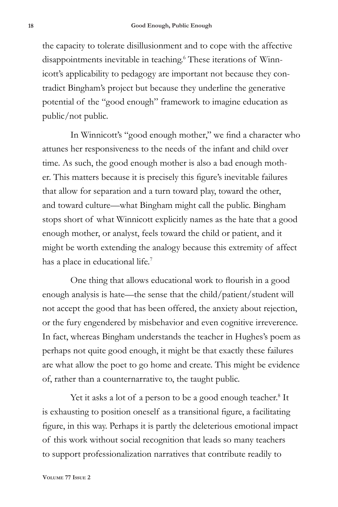the capacity to tolerate disillusionment and to cope with the affective disappointments inevitable in teaching.<sup>6</sup> These iterations of Winnicott's applicability to pedagogy are important not because they contradict Bingham's project but because they underline the generative potential of the "good enough" framework to imagine education as public/not public.

In Winnicott's "good enough mother," we find a character who attunes her responsiveness to the needs of the infant and child over time. As such, the good enough mother is also a bad enough mother. This matters because it is precisely this figure's inevitable failures that allow for separation and a turn toward play, toward the other, and toward culture—what Bingham might call the public. Bingham stops short of what Winnicott explicitly names as the hate that a good enough mother, or analyst, feels toward the child or patient, and it might be worth extending the analogy because this extremity of affect has a place in educational life.<sup>7</sup>

One thing that allows educational work to flourish in a good enough analysis is hate—the sense that the child/patient/student will not accept the good that has been offered, the anxiety about rejection, or the fury engendered by misbehavior and even cognitive irreverence. In fact, whereas Bingham understands the teacher in Hughes's poem as perhaps not quite good enough, it might be that exactly these failures are what allow the poet to go home and create. This might be evidence of, rather than a counternarrative to, the taught public.

Yet it asks a lot of a person to be a good enough teacher.<sup>8</sup> It is exhausting to position oneself as a transitional figure, a facilitating figure, in this way. Perhaps it is partly the deleterious emotional impact of this work without social recognition that leads so many teachers to support professionalization narratives that contribute readily to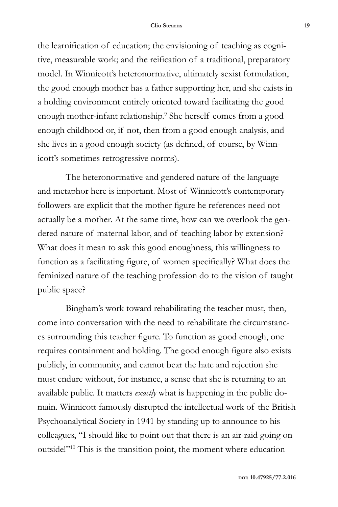## **Clio Stearns 19**

the learnification of education; the envisioning of teaching as cognitive, measurable work; and the reification of a traditional, preparatory model. In Winnicott's heteronormative, ultimately sexist formulation, the good enough mother has a father supporting her, and she exists in a holding environment entirely oriented toward facilitating the good enough mother-infant relationship.9 She herself comes from a good enough childhood or, if not, then from a good enough analysis, and she lives in a good enough society (as defined, of course, by Winnicott's sometimes retrogressive norms).

The heteronormative and gendered nature of the language and metaphor here is important. Most of Winnicott's contemporary followers are explicit that the mother figure he references need not actually be a mother. At the same time, how can we overlook the gendered nature of maternal labor, and of teaching labor by extension? What does it mean to ask this good enoughness, this willingness to function as a facilitating figure, of women specifically? What does the feminized nature of the teaching profession do to the vision of taught public space?

Bingham's work toward rehabilitating the teacher must, then, come into conversation with the need to rehabilitate the circumstances surrounding this teacher figure. To function as good enough, one requires containment and holding. The good enough figure also exists publicly, in community, and cannot bear the hate and rejection she must endure without, for instance, a sense that she is returning to an available public. It matters *exactly* what is happening in the public domain. Winnicott famously disrupted the intellectual work of the British Psychoanalytical Society in 1941 by standing up to announce to his colleagues, "I should like to point out that there is an air-raid going on outside!"10 This is the transition point, the moment where education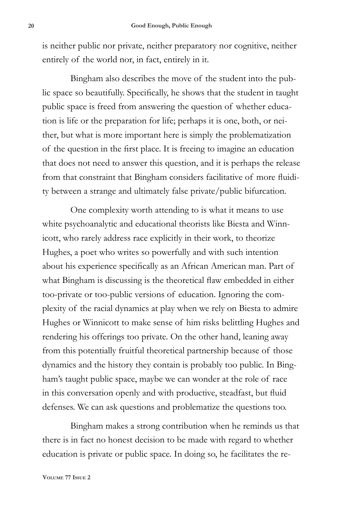is neither public nor private, neither preparatory nor cognitive, neither entirely of the world nor, in fact, entirely in it.

Bingham also describes the move of the student into the public space so beautifully. Specifically, he shows that the student in taught public space is freed from answering the question of whether education is life or the preparation for life; perhaps it is one, both, or neither, but what is more important here is simply the problematization of the question in the first place. It is freeing to imagine an education that does not need to answer this question, and it is perhaps the release from that constraint that Bingham considers facilitative of more fluidity between a strange and ultimately false private/public bifurcation.

One complexity worth attending to is what it means to use white psychoanalytic and educational theorists like Biesta and Winnicott, who rarely address race explicitly in their work, to theorize Hughes, a poet who writes so powerfully and with such intention about his experience specifically as an African American man. Part of what Bingham is discussing is the theoretical flaw embedded in either too-private or too-public versions of education. Ignoring the complexity of the racial dynamics at play when we rely on Biesta to admire Hughes or Winnicott to make sense of him risks belittling Hughes and rendering his offerings too private. On the other hand, leaning away from this potentially fruitful theoretical partnership because of those dynamics and the history they contain is probably too public. In Bingham's taught public space, maybe we can wonder at the role of race in this conversation openly and with productive, steadfast, but fluid defenses. We can ask questions and problematize the questions too.

Bingham makes a strong contribution when he reminds us that there is in fact no honest decision to be made with regard to whether education is private or public space. In doing so, he facilitates the re